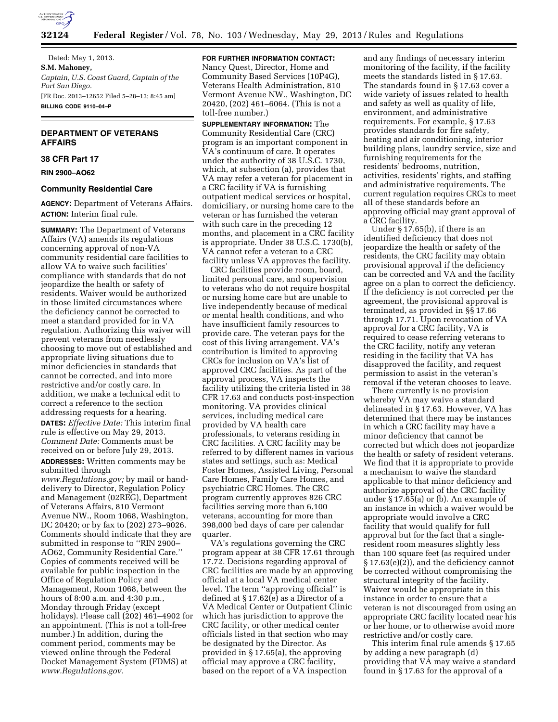

Dated: May 1, 2013. **S.M. Mahoney,**  *Captain, U.S. Coast Guard, Captain of the Port San Diego.*  [FR Doc. 2013–12652 Filed 5–28–13; 8:45 am] **BILLING CODE 9110–04–P** 

# **DEPARTMENT OF VETERANS AFFAIRS**

# **38 CFR Part 17**

**RIN 2900–AO62** 

### **Community Residential Care**

**AGENCY:** Department of Veterans Affairs. **ACTION:** Interim final rule.

**SUMMARY:** The Department of Veterans Affairs (VA) amends its regulations concerning approval of non-VA community residential care facilities to allow VA to waive such facilities' compliance with standards that do not jeopardize the health or safety of residents. Waiver would be authorized in those limited circumstances where the deficiency cannot be corrected to meet a standard provided for in VA regulation. Authorizing this waiver will prevent veterans from needlessly choosing to move out of established and appropriate living situations due to minor deficiencies in standards that cannot be corrected, and into more restrictive and/or costly care. In addition, we make a technical edit to correct a reference to the section addressing requests for a hearing. **DATES:** *Effective Date:* This interim final rule is effective on May 29, 2013. *Comment Date:* Comments must be received on or before July 29, 2013.

**ADDRESSES:** Written comments may be submitted through

*[www.Regulations.gov;](http://www.Regulations.gov)* by mail or handdelivery to Director, Regulation Policy and Management (02REG), Department of Veterans Affairs, 810 Vermont Avenue NW., Room 1068, Washington, DC 20420; or by fax to (202) 273–9026. Comments should indicate that they are submitted in response to ''RIN 2900– AO62, Community Residential Care.'' Copies of comments received will be available for public inspection in the Office of Regulation Policy and Management, Room 1068, between the hours of 8:00 a.m. and 4:30 p.m., Monday through Friday (except holidays). Please call (202) 461–4902 for an appointment. (This is not a toll-free number.) In addition, during the comment period, comments may be viewed online through the Federal Docket Management System (FDMS) at *[www.Regulations.gov.](http://www.Regulations.gov)* 

**FOR FURTHER INFORMATION CONTACT:**  Nancy Quest, Director, Home and Community Based Services (10P4G), Veterans Health Administration, 810 Vermont Avenue NW., Washington, DC 20420, (202) 461–6064. (This is not a toll-free number.)

**SUPPLEMENTARY INFORMATION:** The Community Residential Care (CRC) program is an important component in VA's continuum of care. It operates under the authority of 38 U.S.C. 1730, which, at subsection (a), provides that VA may refer a veteran for placement in a CRC facility if VA is furnishing outpatient medical services or hospital, domiciliary, or nursing home care to the veteran or has furnished the veteran with such care in the preceding 12 months, and placement in a CRC facility is appropriate. Under 38 U.S.C. 1730(b), VA cannot refer a veteran to a CRC facility unless VA approves the facility.

CRC facilities provide room, board, limited personal care, and supervision to veterans who do not require hospital or nursing home care but are unable to live independently because of medical or mental health conditions, and who have insufficient family resources to provide care. The veteran pays for the cost of this living arrangement. VA's contribution is limited to approving CRCs for inclusion on VA's list of approved CRC facilities. As part of the approval process, VA inspects the facility utilizing the criteria listed in 38 CFR 17.63 and conducts post-inspection monitoring. VA provides clinical services, including medical care provided by VA health care professionals, to veterans residing in CRC facilities. A CRC facility may be referred to by different names in various states and settings, such as: Medical Foster Homes, Assisted Living, Personal Care Homes, Family Care Homes, and psychiatric CRC Homes. The CRC program currently approves 826 CRC facilities serving more than 6,100 veterans, accounting for more than 398,000 bed days of care per calendar quarter.

VA's regulations governing the CRC program appear at 38 CFR 17.61 through 17.72. Decisions regarding approval of CRC facilities are made by an approving official at a local VA medical center level. The term ''approving official'' is defined at § 17.62(e) as a Director of a VA Medical Center or Outpatient Clinic which has jurisdiction to approve the CRC facility, or other medical center officials listed in that section who may be designated by the Director. As provided in § 17.65(a), the approving official may approve a CRC facility, based on the report of a VA inspection

and any findings of necessary interim monitoring of the facility, if the facility meets the standards listed in § 17.63. The standards found in § 17.63 cover a wide variety of issues related to health and safety as well as quality of life, environment, and administrative requirements. For example, § 17.63 provides standards for fire safety, heating and air conditioning, interior building plans, laundry service, size and furnishing requirements for the residents' bedrooms, nutrition, activities, residents' rights, and staffing and administrative requirements. The current regulation requires CRCs to meet all of these standards before an approving official may grant approval of a CRC facility.

Under § 17.65(b), if there is an identified deficiency that does not jeopardize the health or safety of the residents, the CRC facility may obtain provisional approval if the deficiency can be corrected and VA and the facility agree on a plan to correct the deficiency. If the deficiency is not corrected per the agreement, the provisional approval is terminated, as provided in §§ 17.66 through 17.71. Upon revocation of VA approval for a CRC facility, VA is required to cease referring veterans to the CRC facility, notify any veteran residing in the facility that VA has disapproved the facility, and request permission to assist in the veteran's removal if the veteran chooses to leave.

There currently is no provision whereby VA may waive a standard delineated in § 17.63. However, VA has determined that there may be instances in which a CRC facility may have a minor deficiency that cannot be corrected but which does not jeopardize the health or safety of resident veterans. We find that it is appropriate to provide a mechanism to waive the standard applicable to that minor deficiency and authorize approval of the CRC facility under § 17.65(a) or (b). An example of an instance in which a waiver would be appropriate would involve a CRC facility that would qualify for full approval but for the fact that a singleresident room measures slightly less than 100 square feet (as required under § 17.63(e)(2)), and the deficiency cannot be corrected without compromising the structural integrity of the facility. Waiver would be appropriate in this instance in order to ensure that a veteran is not discouraged from using an appropriate CRC facility located near his or her home, or to otherwise avoid more restrictive and/or costly care.

This interim final rule amends § 17.65 by adding a new paragraph (d) providing that VA may waive a standard found in § 17.63 for the approval of a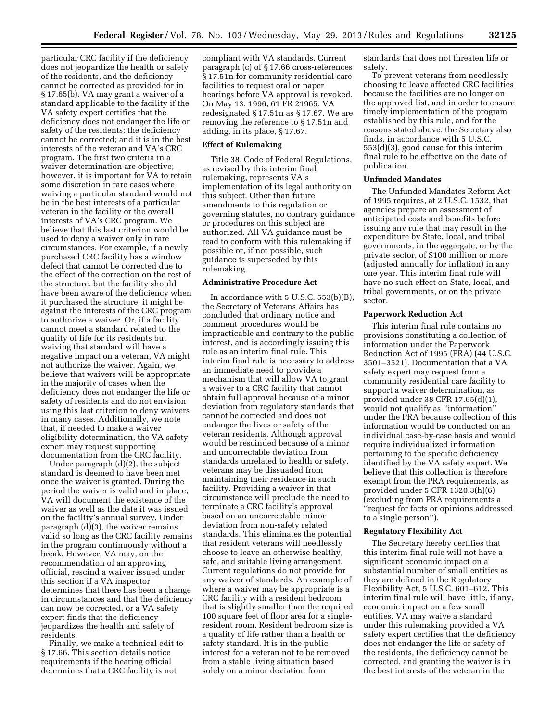particular CRC facility if the deficiency does not jeopardize the health or safety of the residents, and the deficiency cannot be corrected as provided for in § 17.65(b). VA may grant a waiver of a standard applicable to the facility if the VA safety expert certifies that the deficiency does not endanger the life or safety of the residents; the deficiency cannot be corrected; and it is in the best interests of the veteran and VA's CRC program. The first two criteria in a waiver determination are objective; however, it is important for VA to retain some discretion in rare cases where waiving a particular standard would not be in the best interests of a particular veteran in the facility or the overall interests of VA's CRC program. We believe that this last criterion would be used to deny a waiver only in rare circumstances. For example, if a newly purchased CRC facility has a window defect that cannot be corrected due to the effect of the correction on the rest of the structure, but the facility should have been aware of the deficiency when it purchased the structure, it might be against the interests of the CRC program to authorize a waiver. Or, if a facility cannot meet a standard related to the quality of life for its residents but waiving that standard will have a negative impact on a veteran, VA might not authorize the waiver. Again, we believe that waivers will be appropriate in the majority of cases when the deficiency does not endanger the life or safety of residents and do not envision using this last criterion to deny waivers in many cases. Additionally, we note that, if needed to make a waiver eligibility determination, the VA safety expert may request supporting documentation from the CRC facility.

Under paragraph (d)(2), the subject standard is deemed to have been met once the waiver is granted. During the period the waiver is valid and in place, VA will document the existence of the waiver as well as the date it was issued on the facility's annual survey. Under paragraph (d)(3), the waiver remains valid so long as the CRC facility remains in the program continuously without a break. However, VA may, on the recommendation of an approving official, rescind a waiver issued under this section if a VA inspector determines that there has been a change in circumstances and that the deficiency can now be corrected, or a VA safety expert finds that the deficiency jeopardizes the health and safety of residents.

Finally, we make a technical edit to § 17.66. This section details notice requirements if the hearing official determines that a CRC facility is not

compliant with VA standards. Current paragraph (c) of § 17.66 cross-references § 17.51n for community residential care facilities to request oral or paper hearings before VA approval is revoked. On May 13, 1996, 61 FR 21965, VA redesignated § 17.51n as § 17.67. We are removing the reference to § 17.51n and adding, in its place, § 17.67.

# **Effect of Rulemaking**

Title 38, Code of Federal Regulations, as revised by this interim final rulemaking, represents VA's implementation of its legal authority on this subject. Other than future amendments to this regulation or governing statutes, no contrary guidance or procedures on this subject are authorized. All VA guidance must be read to conform with this rulemaking if possible or, if not possible, such guidance is superseded by this rulemaking.

# **Administrative Procedure Act**

In accordance with 5 U.S.C. 553(b)(B), the Secretary of Veterans Affairs has concluded that ordinary notice and comment procedures would be impracticable and contrary to the public interest, and is accordingly issuing this rule as an interim final rule. This interim final rule is necessary to address an immediate need to provide a mechanism that will allow VA to grant a waiver to a CRC facility that cannot obtain full approval because of a minor deviation from regulatory standards that cannot be corrected and does not endanger the lives or safety of the veteran residents. Although approval would be rescinded because of a minor and uncorrectable deviation from standards unrelated to health or safety, veterans may be dissuaded from maintaining their residence in such facility. Providing a waiver in that circumstance will preclude the need to terminate a CRC facility's approval based on an uncorrectable minor deviation from non-safety related standards. This eliminates the potential that resident veterans will needlessly choose to leave an otherwise healthy, safe, and suitable living arrangement. Current regulations do not provide for any waiver of standards. An example of where a waiver may be appropriate is a CRC facility with a resident bedroom that is slightly smaller than the required 100 square feet of floor area for a singleresident room. Resident bedroom size is a quality of life rather than a health or safety standard. It is in the public interest for a veteran not to be removed from a stable living situation based solely on a minor deviation from

standards that does not threaten life or safety.

To prevent veterans from needlessly choosing to leave affected CRC facilities because the facilities are no longer on the approved list, and in order to ensure timely implementation of the program established by this rule, and for the reasons stated above, the Secretary also finds, in accordance with 5 U.S.C. 553(d)(3), good cause for this interim final rule to be effective on the date of publication.

### **Unfunded Mandates**

The Unfunded Mandates Reform Act of 1995 requires, at 2 U.S.C. 1532, that agencies prepare an assessment of anticipated costs and benefits before issuing any rule that may result in the expenditure by State, local, and tribal governments, in the aggregate, or by the private sector, of \$100 million or more (adjusted annually for inflation) in any one year. This interim final rule will have no such effect on State, local, and tribal governments, or on the private sector.

## **Paperwork Reduction Act**

This interim final rule contains no provisions constituting a collection of information under the Paperwork Reduction Act of 1995 (PRA) (44 U.S.C. 3501–3521). Documentation that a VA safety expert may request from a community residential care facility to support a waiver determination, as provided under 38 CFR 17.65(d)(1), would not qualify as ''information'' under the PRA because collection of this information would be conducted on an individual case-by-case basis and would require individualized information pertaining to the specific deficiency identified by the VA safety expert. We believe that this collection is therefore exempt from the PRA requirements, as provided under 5 CFR 1320.3(h)(6) (excluding from PRA requirements a ''request for facts or opinions addressed to a single person'').

#### **Regulatory Flexibility Act**

The Secretary hereby certifies that this interim final rule will not have a significant economic impact on a substantial number of small entities as they are defined in the Regulatory Flexibility Act, 5 U.S.C. 601–612. This interim final rule will have little, if any, economic impact on a few small entities. VA may waive a standard under this rulemaking provided a VA safety expert certifies that the deficiency does not endanger the life or safety of the residents, the deficiency cannot be corrected, and granting the waiver is in the best interests of the veteran in the